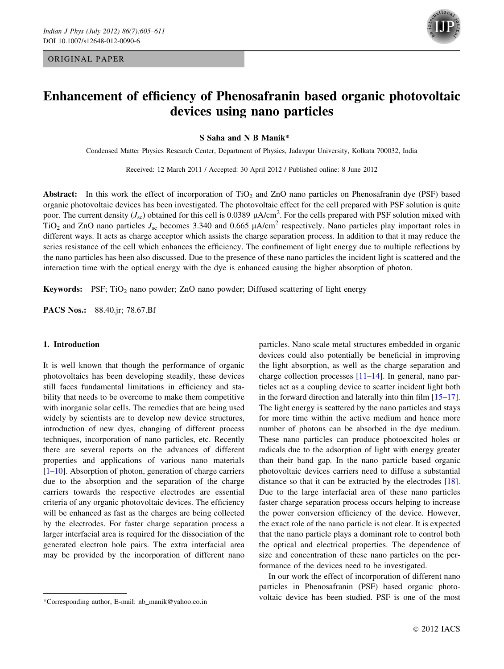## ORIGINAL PAPER



# Enhancement of efficiency of Phenosafranin based organic photovoltaic devices using nano particles

S Saha and N B Manik\*

Condensed Matter Physics Research Center, Department of Physics, Jadavpur University, Kolkata 700032, India

Received: 12 March 2011 / Accepted: 30 April 2012 / Published online: 8 June 2012

Abstract: In this work the effect of incorporation of TiO<sub>2</sub> and ZnO nano particles on Phenosafranin dye (PSF) based organic photovoltaic devices has been investigated. The photovoltaic effect for the cell prepared with PSF solution is quite poor. The current density ( $J_{\rm sc}$ ) obtained for this cell is 0.0389  $\mu$ A/cm<sup>2</sup>. For the cells prepared with PSF solution mixed with TiO<sub>2</sub> and ZnO nano particles  $J_{\rm sc}$  becomes 3.340 and 0.665  $\mu$ A/cm<sup>2</sup> respectively. Nano particles play important roles in different ways. It acts as charge acceptor which assists the charge separation process. In addition to that it may reduce the series resistance of the cell which enhances the efficiency. The confinement of light energy due to multiple reflections by the nano particles has been also discussed. Due to the presence of these nano particles the incident light is scattered and the interaction time with the optical energy with the dye is enhanced causing the higher absorption of photon.

**Keywords:** PSF;  $TiO<sub>2</sub>$  nano powder; ZnO nano powder; Diffused scattering of light energy

PACS Nos.: 88.40.jr; 78.67.Bf

## 1. Introduction

It is well known that though the performance of organic photovoltaics has been developing steadily, these devices still faces fundamental limitations in efficiency and stability that needs to be overcome to make them competitive with inorganic solar cells. The remedies that are being used widely by scientists are to develop new device structures, introduction of new dyes, changing of different process techniques, incorporation of nano particles, etc. Recently there are several reports on the advances of different properties and applications of various nano materials [\[1–10](#page-6-0)]. Absorption of photon, generation of charge carriers due to the absorption and the separation of the charge carriers towards the respective electrodes are essential criteria of any organic photovoltaic devices. The efficiency will be enhanced as fast as the charges are being collected by the electrodes. For faster charge separation process a larger interfacial area is required for the dissociation of the generated electron hole pairs. The extra interfacial area may be provided by the incorporation of different nano particles. Nano scale metal structures embedded in organic devices could also potentially be beneficial in improving the light absorption, as well as the charge separation and charge collection processes [\[11–14](#page-6-0)]. In general, nano particles act as a coupling device to scatter incident light both in the forward direction and laterally into thin film [\[15–17](#page-6-0)]. The light energy is scattered by the nano particles and stays for more time within the active medium and hence more number of photons can be absorbed in the dye medium. These nano particles can produce photoexcited holes or radicals due to the adsorption of light with energy greater than their band gap. In the nano particle based organic photovoltaic devices carriers need to diffuse a substantial distance so that it can be extracted by the electrodes [\[18](#page-6-0)]. Due to the large interfacial area of these nano particles faster charge separation process occurs helping to increase the power conversion efficiency of the device. However, the exact role of the nano particle is not clear. It is expected that the nano particle plays a dominant role to control both the optical and electrical properties. The dependence of size and concentration of these nano particles on the performance of the devices need to be investigated.

In our work the effect of incorporation of different nano particles in Phenosafranin (PSF) based organic photovoltaic device has been studied. PSF is one of the most

<sup>\*</sup>Corresponding author, E-mail: nb\_manik@yahoo.co.in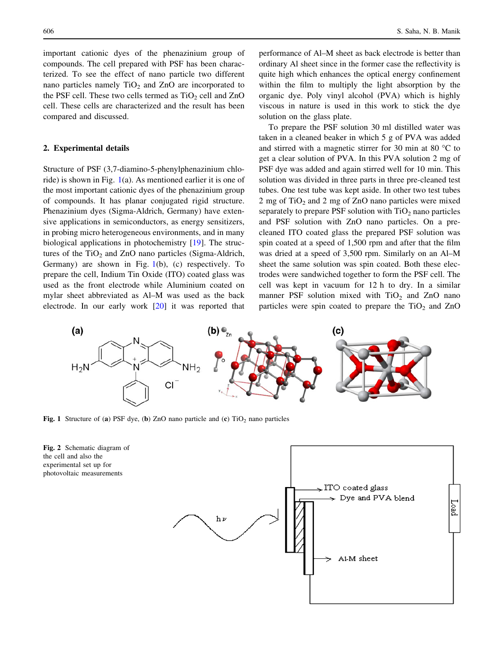<span id="page-1-0"></span>important cationic dyes of the phenazinium group of compounds. The cell prepared with PSF has been characterized. To see the effect of nano particle two different nano particles namely  $TiO<sub>2</sub>$  and  $ZnO$  are incorporated to the PSF cell. These two cells termed as  $TiO<sub>2</sub>$  cell and  $ZnO$ cell. These cells are characterized and the result has been compared and discussed.

# 2. Experimental details

Structure of PSF (3,7-diamino-5-phenylphenazinium chloride) is shown in Fig. 1(a). As mentioned earlier it is one of the most important cationic dyes of the phenazinium group of compounds. It has planar conjugated rigid structure. Phenazinium dyes (Sigma-Aldrich, Germany) have extensive applications in semiconductors, as energy sensitizers, in probing micro heterogeneous environments, and in many biological applications in photochemistry [[19\]](#page-6-0). The structures of the  $TiO<sub>2</sub>$  and  $ZnO$  nano particles (Sigma-Aldrich, Germany) are shown in Fig.  $1(b)$ , (c) respectively. To prepare the cell, Indium Tin Oxide (ITO) coated glass was used as the front electrode while Aluminium coated on mylar sheet abbreviated as Al–M was used as the back electrode. In our early work [[20\]](#page-6-0) it was reported that performance of Al–M sheet as back electrode is better than ordinary Al sheet since in the former case the reflectivity is quite high which enhances the optical energy confinement within the film to multiply the light absorption by the organic dye. Poly vinyl alcohol (PVA) which is highly viscous in nature is used in this work to stick the dye solution on the glass plate.

To prepare the PSF solution 30 ml distilled water was taken in a cleaned beaker in which 5 g of PVA was added and stirred with a magnetic stirrer for 30 min at 80  $^{\circ}$ C to get a clear solution of PVA. In this PVA solution 2 mg of PSF dye was added and again stirred well for 10 min. This solution was divided in three parts in three pre-cleaned test tubes. One test tube was kept aside. In other two test tubes 2 mg of  $TiO<sub>2</sub>$  and 2 mg of ZnO nano particles were mixed separately to prepare PSF solution with  $TiO<sub>2</sub>$  nano particles and PSF solution with ZnO nano particles. On a precleaned ITO coated glass the prepared PSF solution was spin coated at a speed of 1,500 rpm and after that the film was dried at a speed of 3,500 rpm. Similarly on an Al–M sheet the same solution was spin coated. Both these electrodes were sandwiched together to form the PSF cell. The cell was kept in vacuum for 12 h to dry. In a similar manner PSF solution mixed with  $TiO<sub>2</sub>$  and ZnO nano particles were spin coated to prepare the  $TiO<sub>2</sub>$  and  $ZnO$ 



Fig. 1 Structure of (a) PSF dye, (b) ZnO nano particle and (c)  $TiO<sub>2</sub>$  nano particles



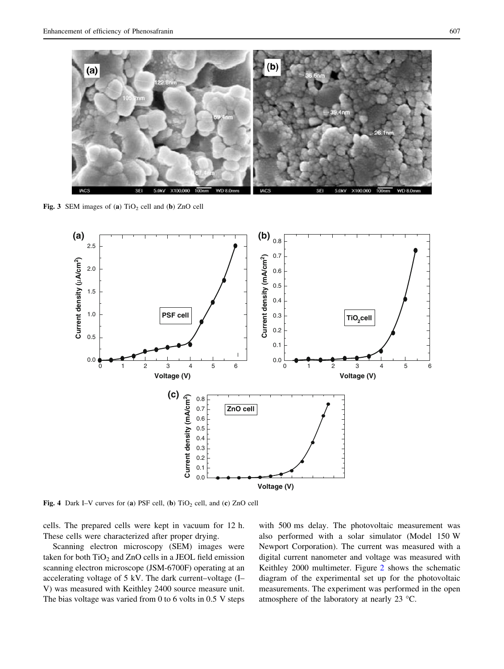<span id="page-2-0"></span>

Fig. 3 SEM images of (a)  $TiO<sub>2</sub>$  cell and (b) ZnO cell



Fig. 4 Dark I–V curves for (a) PSF cell, (b)  $TiO<sub>2</sub>$  cell, and (c) ZnO cell

cells. The prepared cells were kept in vacuum for 12 h. These cells were characterized after proper drying.

Scanning electron microscopy (SEM) images were taken for both  $TiO<sub>2</sub>$  and  $ZnO$  cells in a JEOL field emission scanning electron microscope (JSM-6700F) operating at an accelerating voltage of 5 kV. The dark current–voltage (I– V) was measured with Keithley 2400 source measure unit. The bias voltage was varied from 0 to 6 volts in 0.5 V steps with 500 ms delay. The photovoltaic measurement was also performed with a solar simulator (Model 150 W Newport Corporation). The current was measured with a digital current nanometer and voltage was measured with Keithley 2000 multimeter. Figure [2](#page-1-0) shows the schematic diagram of the experimental set up for the photovoltaic measurements. The experiment was performed in the open atmosphere of the laboratory at nearly 23 °C.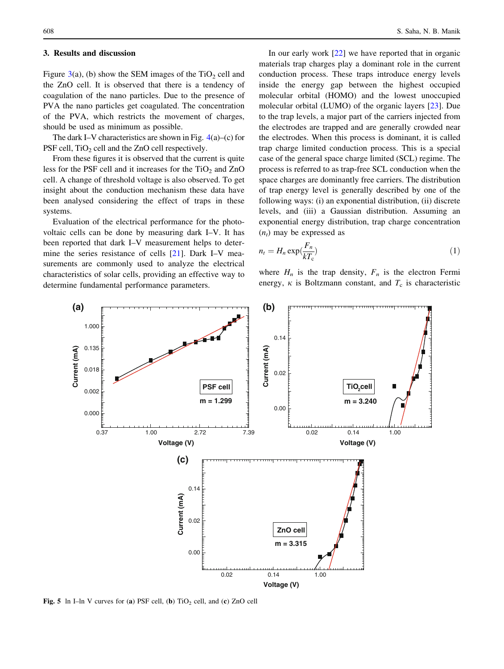#### <span id="page-3-0"></span>3. Results and discussion

Figure [3](#page-2-0)(a), (b) show the SEM images of the  $TiO<sub>2</sub>$  cell and the ZnO cell. It is observed that there is a tendency of coagulation of the nano particles. Due to the presence of PVA the nano particles get coagulated. The concentration of the PVA, which restricts the movement of charges, should be used as minimum as possible.

The dark I–V characteristics are shown in Fig.  $4(a)$  $4(a)$ –(c) for PSF cell,  $TiO<sub>2</sub>$  cell and the ZnO cell respectively.

From these figures it is observed that the current is quite less for the PSF cell and it increases for the  $TiO<sub>2</sub>$  and  $ZnO$ cell. A change of threshold voltage is also observed. To get insight about the conduction mechanism these data have been analysed considering the effect of traps in these systems.

Evaluation of the electrical performance for the photovoltaic cells can be done by measuring dark I–V. It has been reported that dark I–V measurement helps to determine the series resistance of cells [[21\]](#page-6-0). Dark I–V measurements are commonly used to analyze the electrical characteristics of solar cells, providing an effective way to determine fundamental performance parameters.

In our early work [\[22](#page-6-0)] we have reported that in organic materials trap charges play a dominant role in the current conduction process. These traps introduce energy levels inside the energy gap between the highest occupied molecular orbital (HOMO) and the lowest unoccupied molecular orbital (LUMO) of the organic layers [[23\]](#page-6-0). Due to the trap levels, a major part of the carriers injected from the electrodes are trapped and are generally crowded near the electrodes. When this process is dominant, it is called trap charge limited conduction process. This is a special case of the general space charge limited (SCL) regime. The process is referred to as trap-free SCL conduction when the space charges are dominantly free carriers. The distribution of trap energy level is generally described by one of the following ways: (i) an exponential distribution, (ii) discrete levels, and (iii) a Gaussian distribution. Assuming an exponential energy distribution, trap charge concentration  $(n_t)$  may be expressed as

$$
n_t = H_n \exp(\frac{F_n}{kT_c})
$$
\n<sup>(1)</sup>

where  $H_n$  is the trap density,  $F_n$  is the electron Fermi energy,  $\kappa$  is Boltzmann constant, and  $T_c$  is characteristic



Fig. 5 ln I–ln V curves for (a) PSF cell, (b)  $TiO<sub>2</sub>$  cell, and (c) ZnO cell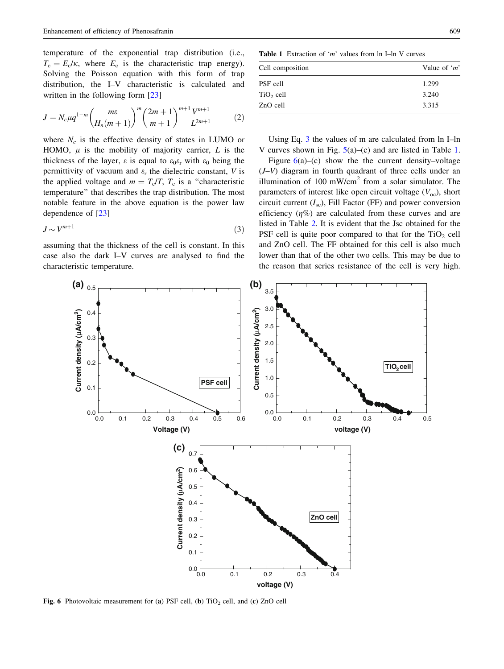temperature of the exponential trap distribution (i.e.,  $T_c = E_c/\kappa$ , where  $E_c$  is the characteristic trap energy). Solving the Poisson equation with this form of trap distribution, the I–V characteristic is calculated and written in the following form [[23\]](#page-6-0)

$$
J = N_c \mu q^{1-m} \left( \frac{m\varepsilon}{H_n(m+1)} \right)^m \left( \frac{2m+1}{m+1} \right)^{m+1} \frac{V^{m+1}}{L^{2m+1}} \tag{2}
$$

where  $N_c$  is the effective density of states in LUMO or HOMO,  $\mu$  is the mobility of majority carrier, L is the thickness of the layer,  $\varepsilon$  is equal to  $\varepsilon_0 \varepsilon_r$  with  $\varepsilon_0$  being the permittivity of vacuum and  $\varepsilon_r$  the dielectric constant, V is the applied voltage and  $m = T_c/T$ ,  $T_c$  is a "characteristic temperature'' that describes the trap distribution. The most notable feature in the above equation is the power law dependence of [[23\]](#page-6-0)

$$
J \sim V^{m+1} \tag{3}
$$

assuming that the thickness of the cell is constant. In this case also the dark I–V curves are analysed to find the characteristic temperature.

**Table 1** Extraction of 'm' values from  $\ln$  I–ln V curves

| Cell composition | Value of ' $m$ ' |
|------------------|------------------|
| PSF cell         | 1.299            |
| $TiO2$ cell      | 3.240            |
| ZnO cell         | 3.315            |

Using Eq. 3 the values of m are calculated from ln I–ln V curves shown in Fig.  $5(a)$  $5(a)$ –(c) and are listed in Table 1.

Figure  $6(a)$ –(c) show the the current density–voltage  $(J-V)$  diagram in fourth quadrant of three cells under an illumination of 100 mW/cm<sup>2</sup> from a solar simulator. The parameters of interest like open circuit voltage  $(V<sub>oc</sub>)$ , short circuit current  $(I_{\rm sc})$ , Fill Factor (FF) and power conversion efficiency  $(\eta\%)$  are calculated from these curves and are listed in Table [2](#page-5-0). It is evident that the Jsc obtained for the PSF cell is quite poor compared to that for the  $TiO<sub>2</sub>$  cell and ZnO cell. The FF obtained for this cell is also much lower than that of the other two cells. This may be due to the reason that series resistance of the cell is very high.



Fig. 6 Photovoltaic measurement for (a) PSF cell, (b)  $TiO<sub>2</sub>$  cell, and (c) ZnO cell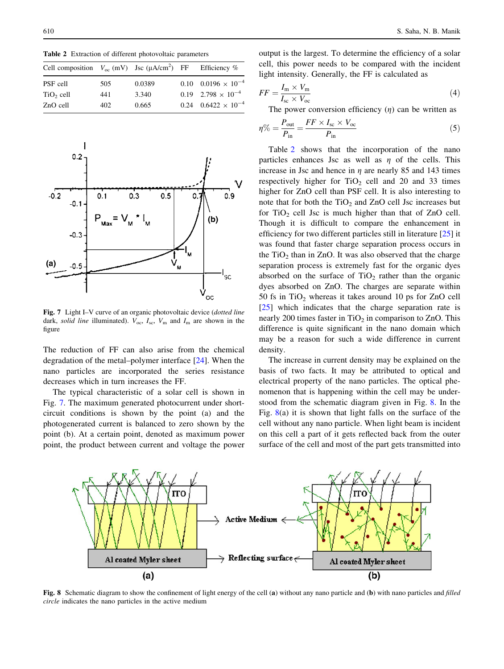<span id="page-5-0"></span>Table 2 Extraction of different photovoltaic parameters

| Cell composition $V_{oc}$ (mV) Jsc ( $\mu A/cm^2$ ) FF Efficiency % |      |        |                                |
|---------------------------------------------------------------------|------|--------|--------------------------------|
| PSF cell                                                            | 505  | 0.0389 | $0.10$ $0.0196 \times 10^{-4}$ |
| $TiO2$ cell                                                         | 441  | 3.340  | $0.19$ $2.798 \times 10^{-4}$  |
| ZnO cell                                                            | 402. | 0.665  | $0.24$ $0.6422 \times 10^{-4}$ |



Fig. 7 Light I–V curve of an organic photovoltaic device (*dotted line* dark, solid line illuminated).  $V_{\text{oc}}$ ,  $I_{\text{sc}}$ ,  $V_{\text{m}}$  and  $I_{\text{m}}$  are shown in the figure

The reduction of FF can also arise from the chemical degradation of the metal–polymer interface [[24\]](#page-6-0). When the nano particles are incorporated the series resistance decreases which in turn increases the FF.

The typical characteristic of a solar cell is shown in Fig. 7. The maximum generated photocurrent under shortcircuit conditions is shown by the point (a) and the photogenerated current is balanced to zero shown by the point (b). At a certain point, denoted as maximum power point, the product between current and voltage the power

output is the largest. To determine the efficiency of a solar cell, this power needs to be compared with the incident light intensity. Generally, the FF is calculated as

$$
FF = \frac{I_{\rm m} \times V_{\rm m}}{I_{\rm sc} \times V_{\rm oc}}\tag{4}
$$

The power conversion efficiency  $(\eta)$  can be written as

$$
\eta\% = \frac{P_{\text{out}}}{P_{\text{in}}} = \frac{FF \times I_{\text{sc}} \times V_{\text{oc}}}{P_{\text{in}}} \tag{5}
$$

Table 2 shows that the incorporation of the nano particles enhances Jsc as well as  $\eta$  of the cells. This increase in Jsc and hence in  $\eta$  are nearly 85 and 143 times respectively higher for  $TiO<sub>2</sub>$  cell and 20 and 33 times higher for ZnO cell than PSF cell. It is also interesting to note that for both the  $TiO<sub>2</sub>$  and  $ZnO$  cell Jsc increases but for  $TiO<sub>2</sub>$  cell Jsc is much higher than that of ZnO cell. Though it is difficult to compare the enhancement in efficiency for two different particles still in literature [[25\]](#page-6-0) it was found that faster charge separation process occurs in the  $TiO<sub>2</sub>$  than in ZnO. It was also observed that the charge separation process is extremely fast for the organic dyes absorbed on the surface of  $TiO<sub>2</sub>$  rather than the organic dyes absorbed on ZnO. The charges are separate within 50 fs in  $TiO<sub>2</sub>$  whereas it takes around 10 ps for ZnO cell [\[25](#page-6-0)] which indicates that the charge separation rate is nearly 200 times faster in  $TiO<sub>2</sub>$  in comparison to ZnO. This difference is quite significant in the nano domain which may be a reason for such a wide difference in current density.

The increase in current density may be explained on the basis of two facts. It may be attributed to optical and electrical property of the nano particles. The optical phenomenon that is happening within the cell may be understood from the schematic diagram given in Fig. 8. In the Fig.  $8(a)$  it is shown that light falls on the surface of the cell without any nano particle. When light beam is incident on this cell a part of it gets reflected back from the outer surface of the cell and most of the part gets transmitted into



Fig. 8 Schematic diagram to show the confinement of light energy of the cell (a) without any nano particle and (b) with nano particles and filled circle indicates the nano particles in the active medium